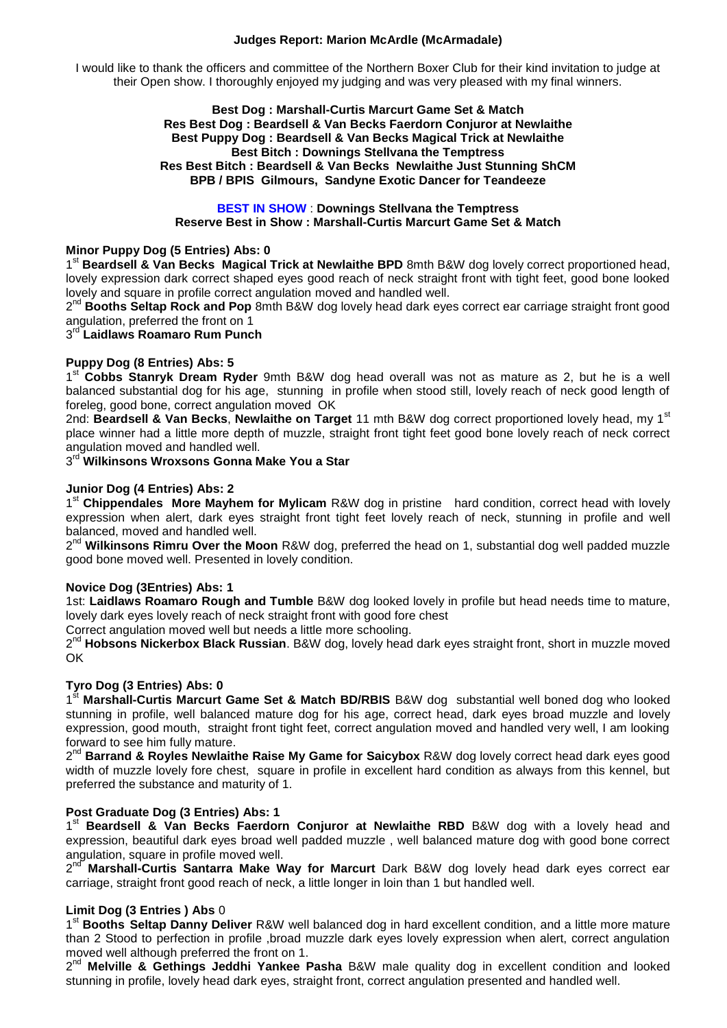#### **Judges Report: Marion McArdle (McArmadale)**

I would like to thank the officers and committee of the Northern Boxer Club for their kind invitation to judge at their Open show. I thoroughly enjoyed my judging and was very pleased with my final winners.

#### **Best Dog : Marshall-Curtis Marcurt Game Set & Match Res Best Dog : Beardsell & Van Becks Faerdorn Conjuror at Newlaithe Best Puppy Dog : Beardsell & Van Becks Magical Trick at Newlaithe Best Bitch : Downings Stellvana the Temptress Res Best Bitch : Beardsell & Van Becks Newlaithe Just Stunning ShCM BPB / BPIS Gilmours, Sandyne Exotic Dancer for Teandeeze**

#### **BEST IN SHOW** : **Downings Stellvana the Temptress Reserve Best in Show : Marshall-Curtis Marcurt Game Set & Match**

#### **Minor Puppy Dog (5 Entries) Abs: 0**

1<sup>st</sup> Beardsell & Van Becks Magical Trick at Newlaithe BPD 8mth B&W dog lovely correct proportioned head, lovely expression dark correct shaped eyes good reach of neck straight front with tight feet, good bone looked lovely and square in profile correct angulation moved and handled well.

2<sup>nd</sup> Booths Seltap Rock and Pop 8mth B&W dog lovely head dark eyes correct ear carriage straight front good angulation, preferred the front on 1

 $3^{\text{rd}}$  Laidlaws Roamaro Rum Punch

## **Puppy Dog (8 Entries) Abs: 5**

1 st **Cobbs Stanryk Dream Ryder** 9mth B&W dog head overall was not as mature as 2, but he is a well balanced substantial dog for his age, stunning in profile when stood still, lovely reach of neck good length of foreleg, good bone, correct angulation moved OK

2nd: **Beardsell & Van Becks**, **Newlaithe on Target** 11 mth B&W dog correct proportioned lovely head, my 1st place winner had a little more depth of muzzle, straight front tight feet good bone lovely reach of neck correct angulation moved and handled well.

3 rd **Wilkinsons Wroxsons Gonna Make You a Star**

## **Junior Dog (4 Entries) Abs: 2**

1<sup>st</sup> Chippendales More Mayhem for Mylicam R&W dog in pristine hard condition, correct head with lovely expression when alert, dark eyes straight front tight feet lovely reach of neck, stunning in profile and well balanced, moved and handled well.

2<sup>nd</sup> Wilkinsons Rimru Over the Moon R&W dog, preferred the head on 1, substantial dog well padded muzzle good bone moved well. Presented in lovely condition.

## **Novice Dog (3Entries) Abs: 1**

1st: **Laidlaws Roamaro Rough and Tumble** B&W dog looked lovely in profile but head needs time to mature, lovely dark eyes lovely reach of neck straight front with good fore chest

Correct angulation moved well but needs a little more schooling.

2<sup>nd</sup> Hobsons Nickerbox Black Russian. B&W dog, lovely head dark eyes straight front, short in muzzle moved OK

## **Tyro Dog (3 Entries) Abs: 0**

1 st **Marshall-Curtis Marcurt Game Set & Match BD/RBIS** B&W dogsubstantial well boned dog who looked stunning in profile, well balanced mature dog for his age, correct head, dark eyes broad muzzle and lovely expression, good mouth, straight front tight feet, correct angulation moved and handled very well, I am looking forward to see him fully mature.

2<sup>nd</sup> Barrand & Royles Newlaithe Raise My Game for Saicybox R&W dog lovely correct head dark eyes good width of muzzle lovely fore chest, square in profile in excellent hard condition as always from this kennel, but preferred the substance and maturity of 1.

## **Post Graduate Dog (3 Entries) Abs: 1**

1<sup>st</sup> Beardsell & Van Becks Faerdorn Conjuror at Newlaithe RBD B&W dog with a lovely head and expression, beautiful dark eyes broad well padded muzzle , well balanced mature dog with good bone correct angulation, square in profile moved well.

2 nd **Marshall-Curtis Santarra Make Way for Marcurt** Dark B&W dog lovely head dark eyes correct ear carriage, straight front good reach of neck, a little longer in loin than 1 but handled well.

## **Limit Dog (3 Entries ) Abs** 0

1<sup>st</sup> Booths Seltap Danny Deliver R&W well balanced dog in hard excellent condition, and a little more mature than 2 Stood to perfection in profile ,broad muzzle dark eyes lovely expression when alert, correct angulation moved well although preferred the front on 1.

2<sup>nd</sup> Melville & Gethings Jeddhi Yankee Pasha B&W male quality dog in excellent condition and looked stunning in profile, lovely head dark eyes, straight front, correct angulation presented and handled well.